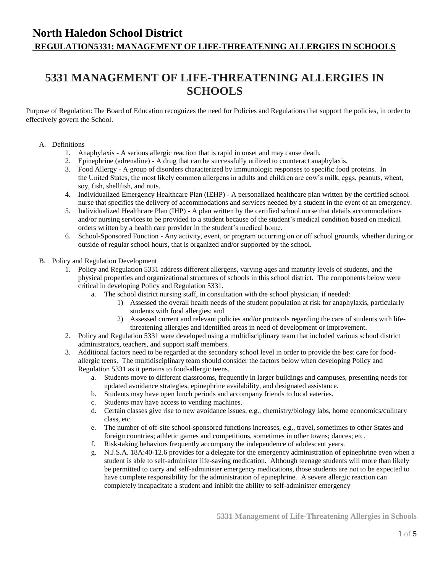## **North Haledon School District REGULATION5331: MANAGEMENT OF LIFE-THREATENING ALLERGIES IN SCHOOLS**

# **5331 MANAGEMENT OF LIFE-THREATENING ALLERGIES IN SCHOOLS**

Purpose of Regulation: The Board of Education recognizes the need for Policies and Regulations that support the policies, in order to effectively govern the School.

### A. Definitions

- 1. Anaphylaxis A serious allergic reaction that is rapid in onset and may cause death.
- 2. Epinephrine (adrenaline) A drug that can be successfully utilized to counteract anaphylaxis.
- 3. Food Allergy A group of disorders characterized by immunologic responses to specific food proteins. In the United States, the most likely common allergens in adults and children are cow's milk, eggs, peanuts, wheat, soy, fish, shellfish, and nuts.
- 4. Individualized Emergency Healthcare Plan (IEHP) A personalized healthcare plan written by the certified school nurse that specifies the delivery of accommodations and services needed by a student in the event of an emergency.
- 5. Individualized Healthcare Plan (IHP) A plan written by the certified school nurse that details accommodations and/or nursing services to be provided to a student because of the student's medical condition based on medical orders written by a health care provider in the student's medical home.
- 6. School-Sponsored Function Any activity, event, or program occurring on or off school grounds, whether during or outside of regular school hours, that is organized and/or supported by the school.
- B. Policy and Regulation Development
	- 1. Policy and Regulation 5331 address different allergens, varying ages and maturity levels of students, and the physical properties and organizational structures of schools in this school district. The components below were critical in developing Policy and Regulation 5331.
		- a. The school district nursing staff, in consultation with the school physician, if needed:
			- 1) Assessed the overall health needs of the student population at risk for anaphylaxis, particularly students with food allergies; and
			- 2) Assessed current and relevant policies and/or protocols regarding the care of students with lifethreatening allergies and identified areas in need of development or improvement.
	- 2. Policy and Regulation 5331 were developed using a multidisciplinary team that included various school district administrators, teachers, and support staff members.
	- 3. Additional factors need to be regarded at the secondary school level in order to provide the best care for foodallergic teens. The multidisciplinary team should consider the factors below when developing Policy and Regulation 5331 as it pertains to food-allergic teens.
		- a. Students move to different classrooms, frequently in larger buildings and campuses, presenting needs for updated avoidance strategies, epinephrine availability, and designated assistance.
		- b. Students may have open lunch periods and accompany friends to local eateries.
		- c. Students may have access to vending machines.
		- d. Certain classes give rise to new avoidance issues, e.g., chemistry/biology labs, home economics/culinary class, etc.
		- e. The number of off-site school-sponsored functions increases, e.g., travel, sometimes to other States and foreign countries; athletic games and competitions, sometimes in other towns; dances; etc.
		- f. Risk-taking behaviors frequently accompany the independence of adolescent years.
		- g. N.J.S.A. 18A:40-12.6 provides for a delegate for the emergency administration of epinephrine even when a student is able to self-administer life-saving medication. Although teenage students will more than likely be permitted to carry and self-administer emergency medications, those students are not to be expected to have complete responsibility for the administration of epinephrine. A severe allergic reaction can completely incapacitate a student and inhibit the ability to self-administer emergency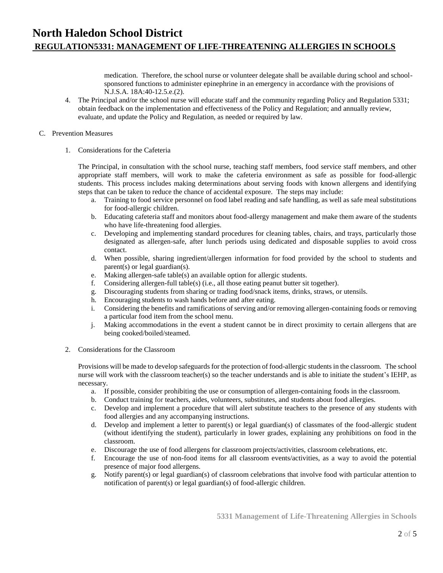medication. Therefore, the school nurse or volunteer delegate shall be available during school and schoolsponsored functions to administer epinephrine in an emergency in accordance with the provisions of N.J.S.A. 18A:40-12.5.e.(2).

4. The Principal and/or the school nurse will educate staff and the community regarding Policy and Regulation 5331; obtain feedback on the implementation and effectiveness of the Policy and Regulation; and annually review, evaluate, and update the Policy and Regulation, as needed or required by law.

#### C. Prevention Measures

1. Considerations for the Cafeteria

The Principal, in consultation with the school nurse, teaching staff members, food service staff members, and other appropriate staff members, will work to make the cafeteria environment as safe as possible for food-allergic students. This process includes making determinations about serving foods with known allergens and identifying steps that can be taken to reduce the chance of accidental exposure. The steps may include:

- a. Training to food service personnel on food label reading and safe handling, as well as safe meal substitutions for food-allergic children.
- b. Educating cafeteria staff and monitors about food-allergy management and make them aware of the students who have life-threatening food allergies.
- c. Developing and implementing standard procedures for cleaning tables, chairs, and trays, particularly those designated as allergen-safe, after lunch periods using dedicated and disposable supplies to avoid cross contact.
- d. When possible, sharing ingredient/allergen information for food provided by the school to students and parent(s) or legal guardian(s).
- e. Making allergen-safe table(s) an available option for allergic students.
- f. Considering allergen-full table(s) (i.e., all those eating peanut butter sit together).
- g. Discouraging students from sharing or trading food/snack items, drinks, straws, or utensils.
- h. Encouraging students to wash hands before and after eating.
- i. Considering the benefits and ramifications of serving and/or removing allergen-containing foods or removing a particular food item from the school menu.
- j. Making accommodations in the event a student cannot be in direct proximity to certain allergens that are being cooked/boiled/steamed.
- 2. Considerations for the Classroom

Provisions will be made to develop safeguards for the protection of food-allergic students in the classroom. The school nurse will work with the classroom teacher(s) so the teacher understands and is able to initiate the student's IEHP, as necessary.

- a. If possible, consider prohibiting the use or consumption of allergen-containing foods in the classroom.
- b. Conduct training for teachers, aides, volunteers, substitutes, and students about food allergies.
- c. Develop and implement a procedure that will alert substitute teachers to the presence of any students with food allergies and any accompanying instructions.
- d. Develop and implement a letter to parent(s) or legal guardian(s) of classmates of the food-allergic student (without identifying the student), particularly in lower grades, explaining any prohibitions on food in the classroom.
- e. Discourage the use of food allergens for classroom projects/activities, classroom celebrations, etc.
- f. Encourage the use of non-food items for all classroom events/activities, as a way to avoid the potential presence of major food allergens.
- g. Notify parent(s) or legal guardian(s) of classroom celebrations that involve food with particular attention to notification of parent(s) or legal guardian(s) of food-allergic children.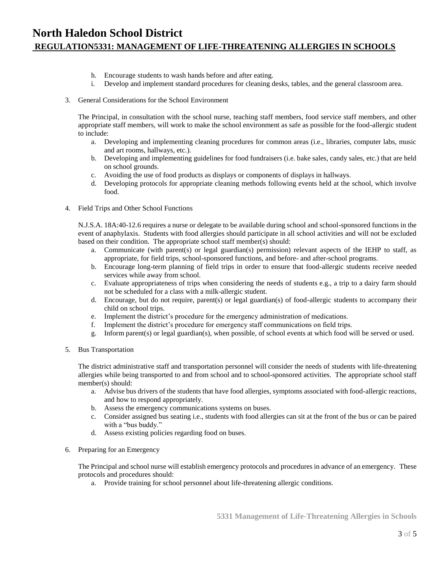## **North Haledon School District REGULATION5331: MANAGEMENT OF LIFE-THREATENING ALLERGIES IN SCHOOLS**

- h. Encourage students to wash hands before and after eating.
- i. Develop and implement standard procedures for cleaning desks, tables, and the general classroom area.
- 3. General Considerations for the School Environment

The Principal, in consultation with the school nurse, teaching staff members, food service staff members, and other appropriate staff members, will work to make the school environment as safe as possible for the food-allergic student to include:

- a. Developing and implementing cleaning procedures for common areas (i.e., libraries, computer labs, music and art rooms, hallways, etc.).
- b. Developing and implementing guidelines for food fundraisers (i.e. bake sales, candy sales, etc.) that are held on school grounds.
- c. Avoiding the use of food products as displays or components of displays in hallways.
- d. Developing protocols for appropriate cleaning methods following events held at the school, which involve food.
- 4. Field Trips and Other School Functions

N.J.S.A. 18A:40-12.6 requires a nurse or delegate to be available during school and school-sponsored functions in the event of anaphylaxis. Students with food allergies should participate in all school activities and will not be excluded based on their condition. The appropriate school staff member(s) should:

- a. Communicate (with parent(s) or legal guardian(s) permission) relevant aspects of the IEHP to staff, as appropriate, for field trips, school-sponsored functions, and before- and after-school programs.
- b. Encourage long-term planning of field trips in order to ensure that food-allergic students receive needed services while away from school.
- c. Evaluate appropriateness of trips when considering the needs of students e.g., a trip to a dairy farm should not be scheduled for a class with a milk-allergic student.
- d. Encourage, but do not require, parent(s) or legal guardian(s) of food-allergic students to accompany their child on school trips.
- e. Implement the district's procedure for the emergency administration of medications.
- f. Implement the district's procedure for emergency staff communications on field trips.
- g. Inform parent(s) or legal guardian(s), when possible, of school events at which food will be served or used.
- 5. Bus Transportation

The district administrative staff and transportation personnel will consider the needs of students with life-threatening allergies while being transported to and from school and to school-sponsored activities. The appropriate school staff member(s) should:

- a. Advise bus drivers of the students that have food allergies, symptoms associated with food-allergic reactions, and how to respond appropriately.
- b. Assess the emergency communications systems on buses.
- c. Consider assigned bus seating i.e., students with food allergies can sit at the front of the bus or can be paired with a "bus buddy."
- d. Assess existing policies regarding food on buses.
- 6. Preparing for an Emergency

The Principal and school nurse will establish emergency protocols and procedures in advance of an emergency. These protocols and procedures should:

a. Provide training for school personnel about life-threatening allergic conditions.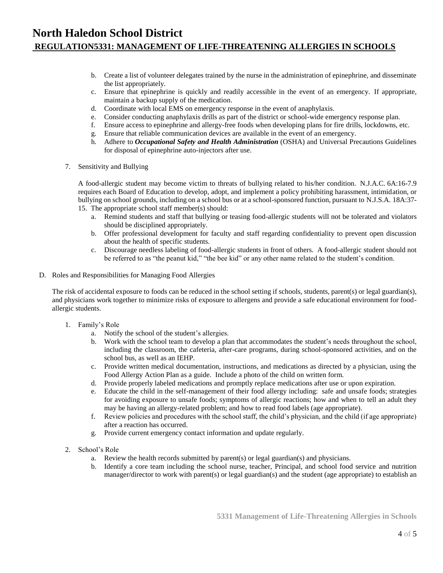## **North Haledon School District REGULATION5331: MANAGEMENT OF LIFE-THREATENING ALLERGIES IN SCHOOLS**

- b. Create a list of volunteer delegates trained by the nurse in the administration of epinephrine, and disseminate the list appropriately.
- c. Ensure that epinephrine is quickly and readily accessible in the event of an emergency. If appropriate, maintain a backup supply of the medication.
- d. Coordinate with local EMS on emergency response in the event of anaphylaxis.
- e. Consider conducting anaphylaxis drills as part of the district or school-wide emergency response plan.
- f. Ensure access to epinephrine and allergy-free foods when developing plans for fire drills, lockdowns, etc.
- g. Ensure that reliable communication devices are available in the event of an emergency.
- h. Adhere to *Occupational Safety and Health Administration* (OSHA) and Universal Precautions Guidelines for disposal of epinephrine auto-injectors after use.
- 7. Sensitivity and Bullying

A food-allergic student may become victim to threats of bullying related to his/her condition. N.J.A.C. 6A:16-7.9 requires each Board of Education to develop, adopt, and implement a policy prohibiting harassment, intimidation, or bullying on school grounds, including on a school bus or at a school-sponsored function, pursuant to N.J.S.A. 18A:37- 15. The appropriate school staff member(s) should:

- a. Remind students and staff that bullying or teasing food-allergic students will not be tolerated and violators should be disciplined appropriately.
- b. Offer professional development for faculty and staff regarding confidentiality to prevent open discussion about the health of specific students.
- c. Discourage needless labeling of food-allergic students in front of others. A food-allergic student should not be referred to as "the peanut kid," "the bee kid" or any other name related to the student's condition.
- D. Roles and Responsibilities for Managing Food Allergies

The risk of accidental exposure to foods can be reduced in the school setting if schools, students, parent(s) or legal guardian(s), and physicians work together to minimize risks of exposure to allergens and provide a safe educational environment for foodallergic students.

- 1. Family's Role
	- a. Notify the school of the student's allergies.
	- b. Work with the school team to develop a plan that accommodates the student's needs throughout the school, including the classroom, the cafeteria, after-care programs, during school-sponsored activities, and on the school bus, as well as an IEHP.
	- c. Provide written medical documentation, instructions, and medications as directed by a physician, using the Food Allergy Action Plan as a guide. Include a photo of the child on written form.
	- d. Provide properly labeled medications and promptly replace medications after use or upon expiration.
	- e. Educate the child in the self-management of their food allergy including: safe and unsafe foods; strategies for avoiding exposure to unsafe foods; symptoms of allergic reactions; how and when to tell an adult they may be having an allergy-related problem; and how to read food labels (age appropriate).
	- f. Review policies and procedures with the school staff, the child's physician, and the child (if age appropriate) after a reaction has occurred.
	- g. Provide current emergency contact information and update regularly.
- 2. School's Role
	- a. Review the health records submitted by parent(s) or legal guardian(s) and physicians.
	- b. Identify a core team including the school nurse, teacher, Principal, and school food service and nutrition manager/director to work with parent(s) or legal guardian(s) and the student (age appropriate) to establish an